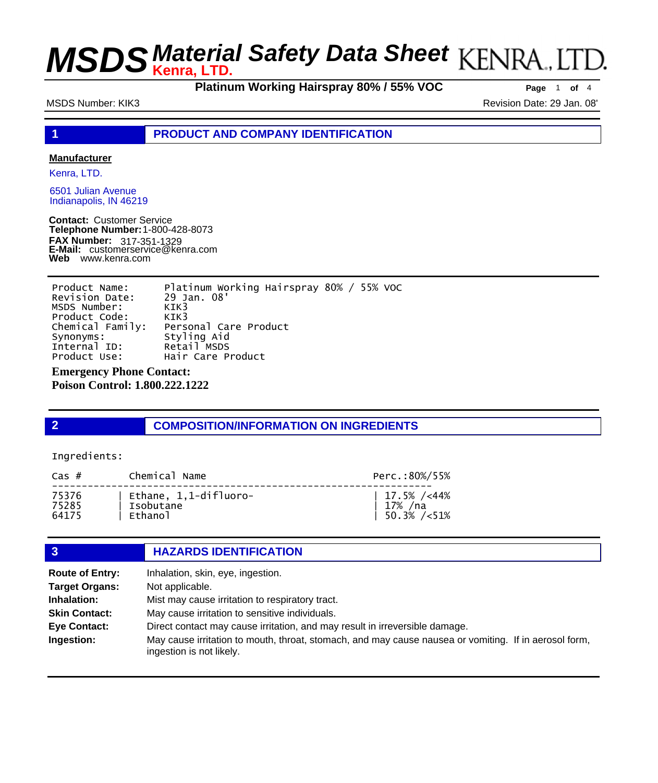**Platinum Working Hairspray 80% / 55% VOC Page** <sup>1</sup> **of** <sup>4</sup>

MSDS Number: KIK3 Revision Date: 29 Jan. 08'

**1 PRODUCT AND COMPANY IDENTIFICATION**

### **Manufacturer**

Kenra, LTD.

6501 Julian Avenue Indianapolis, IN 46219

**Contact:** Customer Service **Telephone Number:** 1-800-428-8073 **FAX Number: FAX Number:** 317-351-1329<br>**E-Mail:** customerservice@kenra.com **Web** www.kenra.com

Product Name: Platinum Working Hairspray 80% / 55% VOC Revision Date: 29 Jan. 08' MSDS Number: KIK3<br>Product Code: KIK3 Product Code:<br>Chemical Family: Chemical Family: Personal Care Product Styling Aid<br>Retail MSDS Internal ID:<br>Product Use: Hair Care Product

**Emergency Phone Contact:** 

**Poison Control: 1.800.222.1222** 

## **2 COMPOSITION/INFORMATION ON INGREDIENTS**

### Ingredients:

| $\text{Cas }#$ | Chemical Name         | Perc.:80%/55%               |
|----------------|-----------------------|-----------------------------|
| 75376          | Ethane, 1,1-difluoro- | 17.5% $\frac{\times}{}$ 44% |
| 75285          | Isobutane             | $\vert$ 17% / na            |
| 64175          | Ethanol               | 50.3% / < 51%               |

## **3 HAZARDS IDENTIFICATION**

| <b>Route of Entry:</b> | Inhalation, skin, eye, ingestion.                                                                                                 |  |  |
|------------------------|-----------------------------------------------------------------------------------------------------------------------------------|--|--|
| <b>Target Organs:</b>  | Not applicable.                                                                                                                   |  |  |
| Inhalation:            | Mist may cause irritation to respiratory tract.                                                                                   |  |  |
| <b>Skin Contact:</b>   | May cause irritation to sensitive individuals.                                                                                    |  |  |
| <b>Eye Contact:</b>    | Direct contact may cause irritation, and may result in irreversible damage.                                                       |  |  |
| Ingestion:             | May cause irritation to mouth, throat, stomach, and may cause nausea or vomiting. If in aerosol form,<br>ingestion is not likely. |  |  |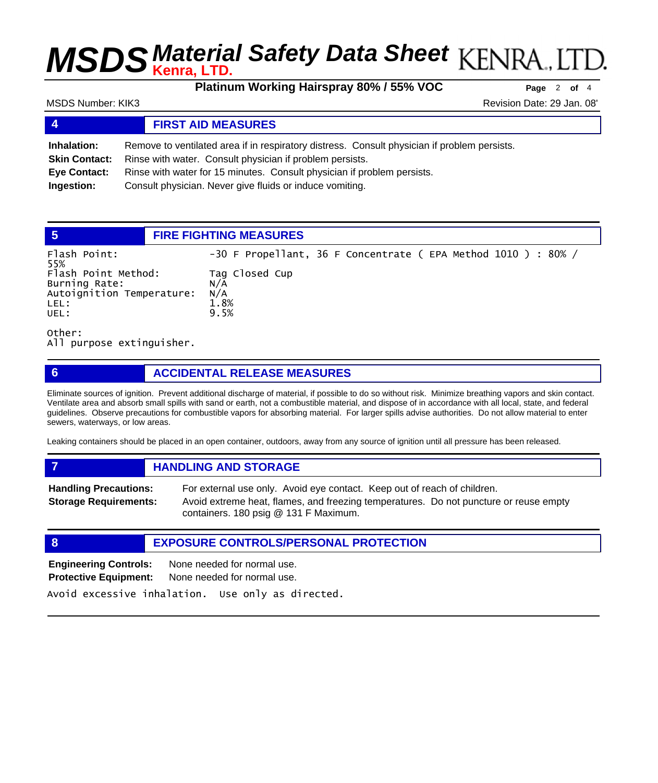**Platinum Working Hairspray 80% / 55% VOC Page** <sup>2</sup> **of** <sup>4</sup>

## MSDS Number: KIK3 **Revision Date: 29 Jan. 08'** Revision Date: 29 Jan. 08'

| $\overline{\mathbf{4}}$ | <b>FIRST AID MEASURES</b>                                                                    |  |
|-------------------------|----------------------------------------------------------------------------------------------|--|
| Inhalation:             | Remove to ventilated area if in respiratory distress. Consult physician if problem persists. |  |
| <b>Skin Contact:</b>    | Rinse with water. Consult physician if problem persists.                                     |  |
| Eye Contact:            | Rinse with water for 15 minutes. Consult physician if problem persists.                      |  |
| Ingestion:              | Consult physician. Never give fluids or induce vomiting.                                     |  |

|                                                                                   | <b>FIRE FIGHTING MEASURES</b>                                 |
|-----------------------------------------------------------------------------------|---------------------------------------------------------------|
| Flash Point:<br>55%                                                               | -30 F Propellant, 36 F Concentrate (EPA Method 1010 ) : 80% / |
| Flash Point Method:<br>Burning Rate:<br>Autoignition Temperature:<br>LEL:<br>UEL: | Tag Closed Cup<br>N/A<br>N/A<br>1.8%<br>9.5%                  |

Other: All purpose extinguisher.

## **6 ACCIDENTAL RELEASE MEASURES**

Eliminate sources of ignition. Prevent additional discharge of material, if possible to do so without risk. Minimize breathing vapors and skin contact. Ventilate area and absorb small spills with sand or earth, not a combustible material, and dispose of in accordance with all local, state, and federal guidelines. Observe precautions for combustible vapors for absorbing material. For larger spills advise authorities. Do not allow material to enter sewers, waterways, or low areas.

Leaking containers should be placed in an open container, outdoors, away from any source of ignition until all pressure has been released.

*HANDLING AND STORAGE* **Handling Precautions:** For external use only. Avoid eye contact. Keep out of reach of children. **Storage Requirements:**

Avoid extreme heat, flames, and freezing temperatures. Do not puncture or reuse empty containers. 180 psig @ 131 F Maximum.

**8 EXPOSURE CONTROLS/PERSONAL PROTECTION**

**Engineering Controls:** None needed for normal use. **Protective Equipment:** None needed for normal use. Avoid excessive inhalation. Use only as directed.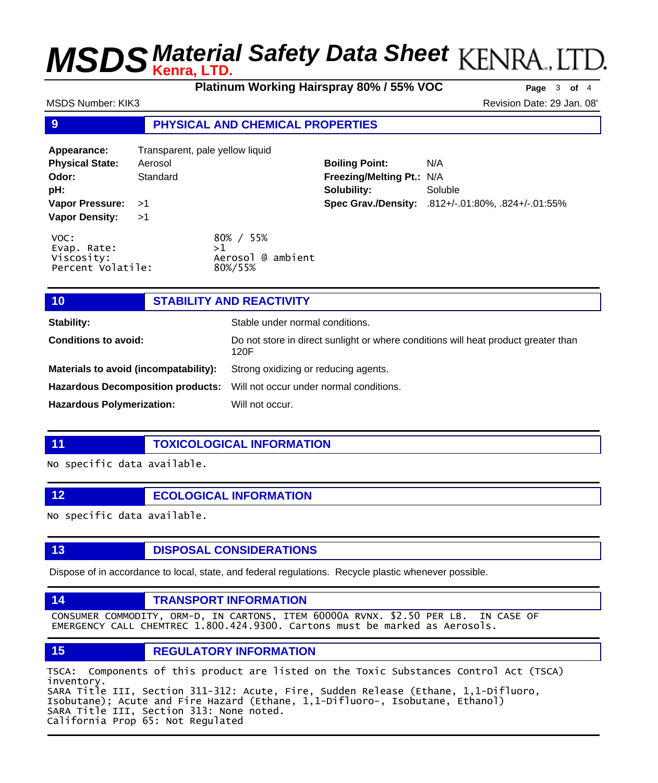**Platinum Working Hairspray 80% / 55% VOC Page** <sup>3</sup> **of** <sup>4</sup>

MSDS Number: KIK3 **Revision Date: 29 Jan. 08'** Revision Date: 29 Jan. 08'

## **9 PHYSICAL AND CHEMICAL PROPERTIES**

| Appearance:                                            | Transparent, pale yellow liquid |                                                 |                           |                                                    |
|--------------------------------------------------------|---------------------------------|-------------------------------------------------|---------------------------|----------------------------------------------------|
| <b>Physical State:</b>                                 | Aerosol                         |                                                 | <b>Boiling Point:</b>     | N/A                                                |
| Odor:                                                  | Standard                        |                                                 | Freezing/Melting Pt.: N/A |                                                    |
| pH:                                                    |                                 |                                                 | Solubility:               | Soluble                                            |
| Vapor Pressure: >1                                     |                                 |                                                 |                           | Spec Grav./Density: .812+/-.01:80%, .824+/-.01:55% |
| <b>Vapor Density:</b>                                  | >1                              |                                                 |                           |                                                    |
| VOC:<br>Evap. Rate:<br>Viscosity:<br>Percent Volatile: |                                 | 80% / 55%<br>>1<br>Aerosol @ ambient<br>80%/55% |                           |                                                    |

| Stability:                            | Stable under normal conditions.                                                            |  |  |
|---------------------------------------|--------------------------------------------------------------------------------------------|--|--|
| <b>Conditions to avoid:</b>           | Do not store in direct sunlight or where conditions will heat product greater than<br>120F |  |  |
| Materials to avoid (incompatability): | Strong oxidizing or reducing agents.                                                       |  |  |
|                                       | Hazardous Decomposition products: Will not occur under normal conditions.                  |  |  |
| <b>Hazardous Polymerization:</b>      | Will not occur.                                                                            |  |  |

**11 TOXICOLOGICAL INFORMATION**

No specific data available.

**12 ECOLOGICAL INFORMATION** 

No specific data available.

**13 DISPOSAL CONSIDERATIONS** 

Dispose of in accordance to local, state, and federal regulations. Recycle plastic whenever possible.

## **14 TRANSPORT INFORMATION**

CONSUMER COMMODITY, ORM-D, IN CARTONS, ITEM 60000A RVNX. \$2.50 PER LB. IN CASE OF EMERGENCY CALL CHEMTREC 1.800.424.9300. Cartons must be marked as Aerosols.

## **15 REGULATORY INFORMATION**

TSCA: Components of this product are listed on the Toxic Substances Control Act (TSCA) inventory. SARA Title III, Section 311-312: Acute, Fire, Sudden Release (Ethane, 1,1-Difluoro, Isobutane); Acute and Fire Hazard (Ethane, 1,1-Difluoro-, Isobutane, Ethanol) SARA Title III, Section 313: None noted. California Prop 65: Not Regulated